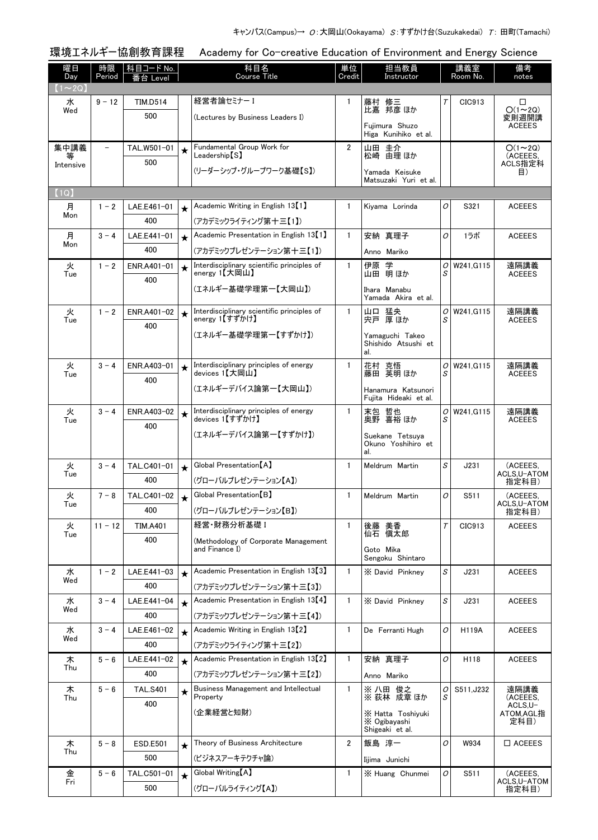| 環境エネルギー協創教育課程 |  |
|---------------|--|
|---------------|--|

Academy for Co-creative Education of Environment and Energy Science

| 曜日<br>Day    | 時限<br>Period             | 科目コード No.<br>番台 Level |         | 科目名<br><b>Course Title</b>                                   | 単位<br>Credit   | 担当教員<br>Instructor                          |               | 講義室<br>Room No. | 備考<br>notes               |
|--------------|--------------------------|-----------------------|---------|--------------------------------------------------------------|----------------|---------------------------------------------|---------------|-----------------|---------------------------|
| $(1\sim 2Q)$ |                          |                       |         |                                                              |                |                                             |               |                 |                           |
| 水            | $9 - 12$                 | <b>TIM.D514</b>       |         | 経営者論セミナー I                                                   | 1              | 藤村 修三<br>比嘉 邦彦 ほか                           | $\tau$        | CIC913          | □<br>$O(1\sim 2Q)$        |
| Wed          |                          | 500                   |         | (Lectures by Business Leaders I)                             |                | Fuiimura Shuzo                              |               |                 | 変則週開講                     |
|              |                          |                       |         |                                                              |                | Higa Kunihiko et al.                        |               |                 | <b>ACEEES</b>             |
| 集中講義<br>等    | $\overline{\phantom{a}}$ | TAL.W501-01           | $\star$ | Fundamental Group Work for<br>$Leadership [S]$               | $\overline{2}$ | 山田 圭介<br>松崎 由理 ほか                           |               |                 | $O(1\sim 2Q)$<br>(ACEEES, |
| Intensive    |                          | 500                   |         | (リーダーシップ・グループワーク基礎【S】)                                       |                | Yamada Keisuke                              |               |                 | ACLS指定科                   |
|              |                          |                       |         |                                                              |                | Matsuzaki Yuri et al.                       |               |                 | 目)                        |
| (1Q)         |                          |                       |         |                                                              |                |                                             |               |                 |                           |
| 月<br>Mon     | $1 - 2$                  | LAE.E461-01           | $\star$ | Academic Writing in English 13 [1]                           | $\mathbf{1}$   | Kiyama Lorinda                              | 0             | S321            | <b>ACEEES</b>             |
|              |                          | 400                   |         | (アカデミックライティング第十三【1】)                                         |                |                                             |               |                 |                           |
| 月<br>Mon     | $3 - 4$                  | LAE.E441-01           | $\star$ | Academic Presentation in English 13 <sup>[1]</sup>           | $\mathbf{1}$   | 安納 真理子                                      | O             | 1ラボ             | <b>ACEEES</b>             |
|              |                          | 400                   |         | (アカデミックプレゼンテーション第十三【1】)                                      |                | Anno Mariko                                 |               |                 |                           |
| 火<br>Tue     | $1 - 2$                  | ENR.A401-01           | $\star$ | Interdisciplinary scientific principles of<br>energy 1【大岡山】  | $\mathbf{1}$   | 伊原 学<br>明 ほか<br>山田                          | S             | $O$ W241, G115  | 遠隔講義<br><b>ACEEES</b>     |
|              |                          | 400                   |         | (エネルギー基礎学理第一【大岡山】)                                           |                | Ihara Manabu                                |               |                 |                           |
|              |                          |                       |         |                                                              |                | Yamada Akira et al.                         |               |                 |                           |
| 火<br>Tue     | $1 - 2$                  | ENR.A401-02           | $\star$ | Interdisciplinary scientific principles of<br>energy 1【すずかけ】 | $\mathbf{1}$   | 山口 猛央<br>宍戸 厚ほか                             | O <br>S       | W241, G115      | 遠隔講義<br><b>ACEEES</b>     |
|              |                          | 400                   |         | (エネルギー基礎学理第一【すずかけ】)                                          |                | Yamaguchi Takeo                             |               |                 |                           |
|              |                          |                       |         |                                                              |                | Shishido Atsushi et<br>al.                  |               |                 |                           |
| 火            | $3 - 4$                  | ENR.A403-01           | $\star$ | Interdisciplinary principles of energy                       | $\mathbf{1}$   |                                             | $\sigma$      | W241, G115      | 遠隔講義                      |
| Tue          |                          | 400                   |         | devices 1【大岡山】                                               |                | 花村 克悟<br>藤田 英明ほか                            | S             |                 | <b>ACEEES</b>             |
|              |                          |                       |         | (エネルギーデバイス論第一【大岡山】)                                          |                | Hanamura Katsunori<br>Fuiita Hideaki et al. |               |                 |                           |
| 火            | $3 - 4$                  | ENR.A403-02           | $\star$ | Interdisciplinary principles of energy                       | $\mathbf{1}$   |                                             | 0             | W241, G115      | 遠隔講義                      |
| Tue          |                          | 400                   |         | devices 1【すずかけ】                                              |                | 末包 哲也<br>奥野 喜裕ほか                            | S             |                 | <b>ACEEES</b>             |
|              |                          |                       |         | (エネルギーデバイス論第一【すずかけ】)                                         |                | Suekane Tetsuya<br>Okuno Yoshihiro et       |               |                 |                           |
|              |                          |                       |         |                                                              |                | al.                                         |               |                 |                           |
| 火<br>Tue     | $3 - 4$                  | TAL.C401-01           | $\star$ | Global Presentation [A]                                      | $\mathbf{1}$   | Meldrum Martin                              | S             | J231            | (ACEEES,<br>ACLS.U-ATOM   |
|              |                          | 400                   |         | (グローバルプレゼンテーション【A】)                                          |                |                                             |               |                 | 指定科目)                     |
| 火<br>Tue     | $7 - 8$                  | TAL.C401-02           | $\star$ | Global Presentation [B]                                      | $\mathbf{1}$   | Meldrum Martin                              | $\mathcal{O}$ | S511            | (ACEEES,<br>ACLS,U-ATOM   |
|              |                          | 400                   |         | (グローバルプレゼンテーション【B】)                                          |                |                                             |               |                 | 指定科目)                     |
| 火<br>Tue     | $11 - 12$                | <b>TIM.A401</b>       |         | 経営·財務分析基礎 I                                                  | $\mathbf{1}$   | 後藤 美香<br>仙石 愼太郎                             | $\tau$        | CIC913          | <b>ACEEES</b>             |
|              |                          | 400                   |         | (Methodology of Corporate Management<br>and Finance I)       |                | Goto Mika                                   |               |                 |                           |
|              |                          |                       |         |                                                              |                | Sengoku Shintaro                            |               |                 |                           |
| 水<br>Wed     | $1 - 2$                  | LAE.E441-03           | $\star$ | Academic Presentation in English 13 [3]                      | $\mathbf{1}$   | X David Pinkney                             | S             | J231            | <b>ACEEES</b>             |
|              |                          | 400                   |         | (アカデミックプレゼンテーション第十三【3】)                                      |                |                                             |               |                 |                           |
| 水<br>Wed     | $3 - 4$                  | LAE.E441-04           | $\star$ | Academic Presentation in English 13 [4]                      | $\mathbf{1}$   | X David Pinkney                             | S             | J231            | <b>ACEEES</b>             |
|              |                          | 400                   |         | (アカデミックプレゼンテーション第十三【4】)                                      |                |                                             |               |                 |                           |
| 水<br>Wed     | $3 - 4$                  | LAE.E461-02           | $\star$ | Academic Writing in English 13 <sup>[2]</sup>                | $\mathbf{1}$   | De Ferranti Hugh                            | 0             | H119A           | <b>ACEEES</b>             |
|              |                          | 400                   |         | (アカデミックライティング第十三【2】)                                         |                |                                             |               |                 |                           |
| 木<br>Thu     | $5 - 6$                  | LAE.E441-02           | $\star$ | Academic Presentation in English 13 [2]                      | 1              | 安納 真理子                                      | O             | H118            | <b>ACEEES</b>             |
|              |                          | 400                   |         | (アカデミックプレゼンテーション第十三【2】)                                      |                | Anno Mariko                                 |               |                 |                           |
| 木<br>Thu     | $5 - 6$                  | <b>TAL.S401</b>       | $\star$ | Business Management and Intellectual<br>Property             | $\mathbf{1}$   | ※ 八田 俊之<br>※ 荻林 成章 ほか                       | 0<br>S        | S511, J232      | 遠隔講義<br>(ACEEES,          |
|              |                          | 400                   |         | (企業経営と知財)                                                    |                | X Hatta Toshiyuki                           |               |                 | ACLS,U-<br>ATOM,AGL指      |
|              |                          |                       |         |                                                              |                | X Ogibayashi<br>Shigeaki et al.             |               |                 | 定科目)                      |
| 木            | $5 - 8$                  | <b>ESD.E501</b>       | $\star$ | Theory of Business Architecture                              | 2              | 飯島 淳一                                       | 0             | W934            | $\square$ ACEEES          |
| Thu          |                          | 500                   |         | (ビジネスアーキテクチャ論)                                               |                | Iijima Junichi                              |               |                 |                           |
| 金            | $5 - 6$                  | TAL.C501-01           | $\star$ | Global Writing [A]                                           | $\mathbf{1}$   | X Huang Chunmei                             | 0             | S511            | (ACEEES.                  |
| Fri          |                          | 500                   |         | (グローバルライティング【A】)                                             |                |                                             |               |                 | ACLS,U-ATOM<br>指定科目)      |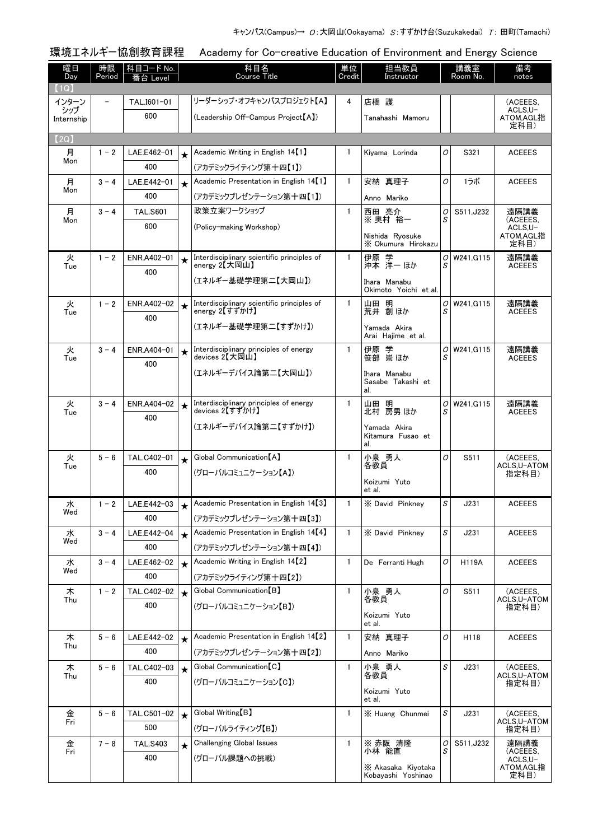| 環境エネルギ |  | ·協創教育課程 |  |
|--------|--|---------|--|
|        |  |         |  |

環境エネルギー協創教育課程 Academy for Co-creative Education of Environment and Energy Science

| 曜日<br>Day         | 時限<br>Period | 科目コード No.<br>番台 Level |         | 科目名<br><b>Course Title</b>                                  | 単位<br>Credit | 担当教員<br>Instructor                       | 講義室<br>Room No. |                | 備考<br>notes                   |  |
|-------------------|--------------|-----------------------|---------|-------------------------------------------------------------|--------------|------------------------------------------|-----------------|----------------|-------------------------------|--|
| (1Q)              |              |                       |         |                                                             |              |                                          |                 |                |                               |  |
| インターン             |              | TAL.I601-01           |         | リーダーシップ・オフキャンパスプロジェクト【A】                                    | 4            | 店橋 護                                     |                 |                | (ACEEES.                      |  |
| シップ<br>Internship |              | 600                   |         | (Leadership Off-Campus Project [A])                         |              | Tanahashi Mamoru                         |                 |                | ACLS, U-<br>ATOM,AGL指<br>定科目) |  |
| (2Q)              |              |                       |         |                                                             |              |                                          |                 |                |                               |  |
| 月<br>Mon          | $1 - 2$      | LAE.E462-01           | $\star$ | Academic Writing in English 14 [1]                          | $\mathbf{1}$ | Kiyama Lorinda                           | 0               | S321           | <b>ACEEES</b>                 |  |
|                   |              | 400                   |         | (アカデミックライティング第十四【1】)                                        |              |                                          |                 |                |                               |  |
| 月<br>Mon          | $3 - 4$      | LAE.E442-01           | $\star$ | Academic Presentation in English 14 <sup>[1]</sup>          | $\mathbf{1}$ | 安納 真理子                                   | 0               | 1ラボ            | <b>ACEEES</b>                 |  |
|                   |              | 400                   |         | (アカデミックプレゼンテーション第十四【1】)                                     |              | Anno Mariko                              |                 |                |                               |  |
| 月<br>Mon          | $3 - 4$      | <b>TAL.S601</b>       |         | 政策立案ワークショップ                                                 | $\mathbf{1}$ | 西田 亮介<br>※ 奥村 裕一                         | 0<br>S          | S511, J232     | 遠隔講義<br>(ACEEES,              |  |
|                   |              | 600                   |         | (Policy-making Workshop)                                    |              | Nishida Ryosuke                          |                 |                | ACLS,U-<br>ATOM,AGL指          |  |
|                   |              |                       |         |                                                             |              | X Okumura Hirokazu                       |                 |                | 定科目)                          |  |
| 火                 | $1 - 2$      | ENR.A402-01           |         | Interdisciplinary scientific principles of<br>energy 2【大岡山】 | $\mathbf{1}$ | 伊原 学<br>沖本 洋一 ほか                         | S               | $O$ W241, G115 | 遠隔講義<br><b>ACEEES</b>         |  |
| Tue               |              | 400                   |         |                                                             |              |                                          |                 |                |                               |  |
|                   |              |                       |         | (エネルギー基礎学理第二【大岡山】)                                          |              | Ihara Manabu<br>Okimoto Yoichi et al.    |                 |                |                               |  |
| 火                 | $1 - 2$      | ENR.A402-02           | $\star$ | Interdisciplinary scientific principles of                  | $\mathbf{1}$ | 山田 明<br>荒井 創ほか                           | 0               | W241.G115      | 遠隔講義                          |  |
| Tue               |              | 400                   |         | energy 2【すずかけ】                                              |              |                                          | S               |                | <b>ACEEES</b>                 |  |
|                   |              |                       |         | (エネルギー基礎学理第二【すずかけ】)                                         |              | Yamada Akira<br>Arai Hajime et al.       |                 |                |                               |  |
| 火                 | $3 - 4$      | ENR.A404-01           | $\star$ | Interdisciplinary principles of energy                      | $\mathbf{1}$ | 学<br>崇 ほか<br>伊原                          | 0               | W241.G115      | 遠隔講義                          |  |
| Tue               |              | 400                   |         | devices 2【大岡山】                                              |              | 笹部                                       | S               |                | <b>ACEEES</b>                 |  |
|                   |              |                       |         | (エネルギーデバイス論第二【大岡山】)                                         |              | Ihara Manabu<br>Sasabe Takashi et<br>al. |                 |                |                               |  |
| 火                 | $3 - 4$      | ENR.A404-02           | $\star$ | Interdisciplinary principles of energy                      | $\mathbf{1}$ | 山田 明                                     | $\overline{O}$  | W241.G115      | 遠隔講義                          |  |
| Tue               |              | 400                   |         | devices 2【すずかけ】                                             |              | 北村 房男 ほか                                 | S               |                | <b>ACEEES</b>                 |  |
|                   |              |                       |         | (エネルギーデバイス論第二【すずかけ】)                                        |              | Yamada Akira<br>Kitamura Fusao et        |                 |                |                               |  |
|                   |              |                       |         |                                                             |              | al.                                      |                 |                |                               |  |
| 火<br>Tue          | $5 - 6$      | TAL.C402-01           | $\star$ | Global Communication [A]                                    | $\mathbf{1}$ | 小泉 勇人<br>各教員                             | O               | S511           | (ACEEES.<br>ACLS,U-ATOM       |  |
|                   |              | 400                   |         | (グローバルコミュニケーション【A】)                                         |              | Koizumi Yuto                             |                 |                | 指定科目)                         |  |
|                   |              |                       |         |                                                             |              | et al.                                   |                 |                |                               |  |
| 水                 | $1 - 2$      | LAE.E442-03           |         | $\star$ Academic Presentation in English 14[3]              | 1            | X David Pinkney                          | S               | J231           | <b>ACEEES</b>                 |  |
| Wed               |              | 400                   |         | (アカデミックプレゼンテーション第十四【3】)                                     |              |                                          |                 |                |                               |  |
| 水<br>Wed          | $3 - 4$      | LAE.E442-04           | $\star$ | Academic Presentation in English 14 [4]                     | $\mathbf{1}$ | X David Pinknev                          | S               | J231           | <b>ACEEES</b>                 |  |
|                   |              | 400                   |         | (アカデミックプレゼンテーション第十四【4】)                                     |              |                                          |                 |                |                               |  |
| 水<br>Wed          | $3 - 4$      | LAE.E462-02           | $\star$ | Academic Writing in English 14 <sup>[2]</sup>               | $\mathbf{1}$ | De Ferranti Hugh                         | $\mathcal{O}$   | <b>H119A</b>   | <b>ACEEES</b>                 |  |
|                   |              | 400                   |         | (アカデミックライティング第十四【2】)                                        |              |                                          |                 |                |                               |  |
| 木<br>Thu          | $1 - 2$      | TAL.C402-02           | $\star$ | Global Communication [B]                                    | $\mathbf{1}$ | 小泉 勇人<br>各教員                             | 0               | S511           | (ACEEES,<br>ACLS, U-ATOM      |  |
|                   |              | 400                   |         | (グローバルコミュニケーション【B】)                                         |              | Koizumi Yuto                             |                 |                | 指定科目)                         |  |
|                   |              |                       |         |                                                             |              | et al.                                   |                 |                |                               |  |
| 木                 | $5 - 6$      | LAE.E442-02           | $\star$ | Academic Presentation in English 14 [2]                     | $\mathbf{1}$ | 安納 真理子                                   | O               | H118           | <b>ACEEES</b>                 |  |
| Thu               |              | 400                   |         | (アカデミックプレゼンテーション第十四【2】)                                     |              | Anno Mariko                              |                 |                |                               |  |
| 木                 | $5 - 6$      | TAL.C402-03           | $\star$ | Global Communication [C]                                    | $\mathbf{1}$ | 小泉 勇人                                    | S               | J231           | (ACEEES.                      |  |
| Thu               |              | 400                   |         | (グローバルコミュニケーション【C】)                                         |              | 各教員                                      |                 |                | ACLS,U-ATOM<br>指定科目)          |  |
|                   |              |                       |         |                                                             |              | Koizumi Yuto<br>et al.                   |                 |                |                               |  |
| 金                 | $5 - 6$      | TAL.C501-02           | $\star$ | Global Writing [B]                                          | 1            | X Huang Chunmei                          | S               | J231           | (ACEEES,                      |  |
| Fri               |              | 500                   |         | (グローバルライティング【B】)                                            |              |                                          |                 |                | ACLS, U-ATOM<br>指定科目)         |  |
| 金                 | $7 - 8$      | <b>TAL.S403</b>       | $\star$ | <b>Challenging Global Issues</b>                            | 1            | ※赤阪 清隆                                   | О               | S511, J232     | 遠隔講義                          |  |
| Fri               |              | 400                   |         | (グローバル課題への挑戦)                                               |              | 小林 能直                                    |                 |                | (ACEEES,<br>ACLS, U-          |  |
|                   |              |                       |         |                                                             |              | X Akasaka Kiyotaka<br>Kobayashi Yoshinao |                 |                | ATOM,AGL指<br>定科目)             |  |